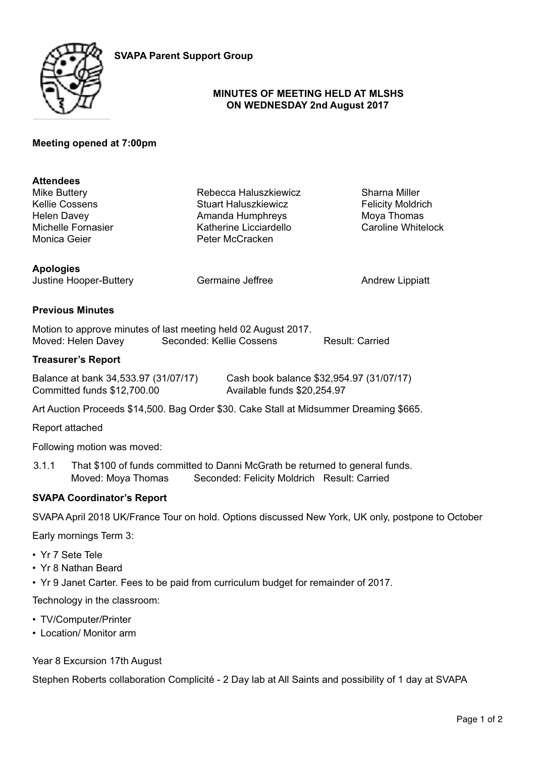



### **MINUTES OF MEETING HELD AT MLSHS ON WEDNESDAY 2nd August 2017**

## **Meeting opened at 7:00pm**

| <b>Attendees</b><br>Mike Buttery<br>Kellie Cossens<br><b>Helen Davey</b><br>Michelle Fornasier<br>Monica Geier                      | Rebecca Haluszkiewicz<br>Stuart Haluszkiewicz<br>Amanda Humphreys<br>Katherine Licciardello<br>Peter McCracken | Sharna Miller<br><b>Felicity Moldrich</b><br>Moya Thomas<br><b>Caroline Whitelock</b> |
|-------------------------------------------------------------------------------------------------------------------------------------|----------------------------------------------------------------------------------------------------------------|---------------------------------------------------------------------------------------|
| <b>Apologies</b><br>Justine Hooper-Buttery                                                                                          | Germaine Jeffree                                                                                               | <b>Andrew Lippiatt</b>                                                                |
| <b>Previous Minutes</b>                                                                                                             |                                                                                                                |                                                                                       |
| Motion to approve minutes of last meeting held 02 August 2017.<br>Seconded: Kellie Cossens<br>Result: Carried<br>Moved: Helen Davey |                                                                                                                |                                                                                       |
| <b>Treasurer's Report</b>                                                                                                           |                                                                                                                |                                                                                       |

| Balance at bank 34,533.97 (31/07/17) | Cash book balance \$32,954.97 (31/07/17) |
|--------------------------------------|------------------------------------------|
| Committed funds \$12,700.00          | Available funds \$20,254.97              |

Art Auction Proceeds \$14,500. Bag Order \$30. Cake Stall at Midsummer Dreaming \$665.

Report attached

Following motion was moved:

3.1.1 That \$100 of funds committed to Danni McGrath be returned to general funds. Moved: Moya Thomas Seconded: Felicity Moldrich Result: Carried

#### **SVAPA Coordinator's Report**

SVAPA April 2018 UK/France Tour on hold. Options discussed New York, UK only, postpone to October

Early mornings Term 3:

- Yr 7 Sete Tele
- Yr 8 Nathan Beard
- Yr 9 Janet Carter. Fees to be paid from curriculum budget for remainder of 2017.

Technology in the classroom:

- TV/Computer/Printer
- Location/ Monitor arm

Year 8 Excursion 17th August

Stephen Roberts collaboration Complicité - 2 Day lab at All Saints and possibility of 1 day at SVAPA